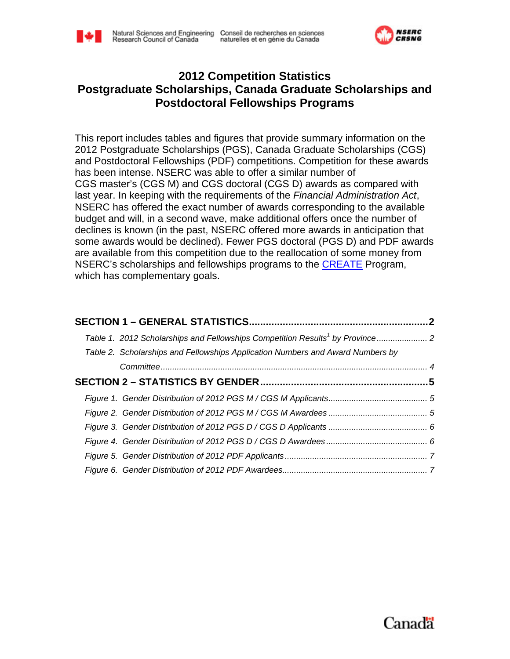



### **2012 Competition Statistics Postgraduate Scholarships, Canada Graduate Scholarships and Postdoctoral Fellowships Programs**

This report includes tables and figures that provide summary information on the 2012 Postgraduate Scholarships (PGS), Canada Graduate Scholarships (CGS) and Postdoctoral Fellowships (PDF) competitions. Competition for these awards has been intense. NSERC was able to offer a similar number of CGS master's (CGS M) and CGS doctoral (CGS D) awards as compared with last year. In keeping with the requirements of the *Financial Administration Act*, NSERC has offered the exact number of awards corresponding to the available budget and will, in a second wave, make additional offers once the number of declines is known (in the past, NSERC offered more awards in anticipation that some awards would be declined). Fewer PGS doctoral (PGS D) and PDF awards are available from this competition due to the reallocation of some money from NSERC's scholarships and fellowships programs to the **[CREATE](http://www.nserc-crsng.gc.ca/Professors-Professeurs/Grants-Subs/CREATE-FONCER_eng.asp)** Program, which has complementary goals.

| Table 2. Scholarships and Fellowships Application Numbers and Award Numbers by |  |
|--------------------------------------------------------------------------------|--|
|                                                                                |  |
|                                                                                |  |
|                                                                                |  |
|                                                                                |  |
|                                                                                |  |
|                                                                                |  |
|                                                                                |  |
|                                                                                |  |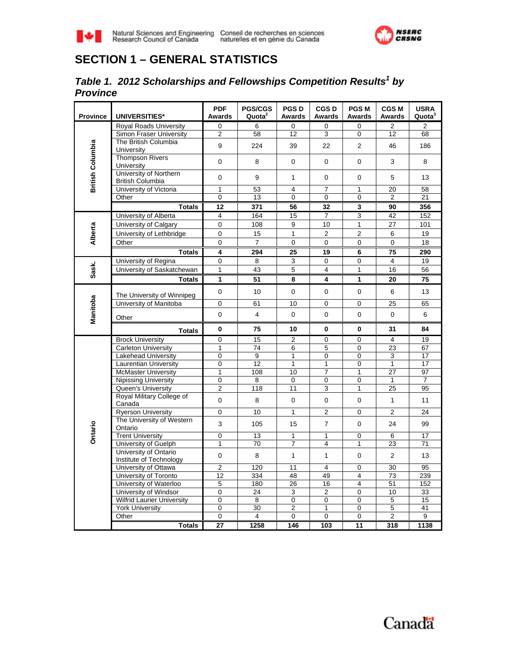<span id="page-1-0"></span>



# **SECTION 1 – GENERAL STATISTICS**

#### *Table 1. 2012 Scholarships and Fellowships Competition Results<sup>1</sup> by Province*

| <b>Province</b>         | <b>UNIVERSITIES*</b>                                 | <b>PDF</b><br>Awards | <b>PGS/CGS</b><br>Quota <sup>2</sup> | <b>PGSD</b><br>Awards | <b>CGSD</b><br><b>Awards</b> | <b>PGSM</b><br>Awards | <b>CGSM</b><br><b>Awards</b> | <b>USRA</b><br>Quota <sup>3</sup> |
|-------------------------|------------------------------------------------------|----------------------|--------------------------------------|-----------------------|------------------------------|-----------------------|------------------------------|-----------------------------------|
|                         | <b>Royal Roads University</b>                        | 0                    | 6                                    | 0                     | 0                            | 0                     | 2                            | $\overline{2}$                    |
| <b>British Columbia</b> | Simon Fraser University                              | $\overline{2}$       | 58                                   | 12                    | 3                            | 0                     | 12                           | 68                                |
|                         | The British Columbia<br>University                   | 9                    | 224                                  | 39                    | 22                           | $\overline{2}$        | 46                           | 186                               |
|                         | <b>Thompson Rivers</b><br>University                 | 0                    | 8                                    | 0                     | 0                            | 0                     | 3                            | 8                                 |
|                         | University of Northern<br><b>British Columbia</b>    | 0                    | 9                                    | $\mathbf{1}$          | 0                            | 0                     | 5                            | 13                                |
|                         | University of Victoria                               | 1                    | 53                                   | 4                     | $\overline{7}$               | 1                     | 20                           | 58                                |
|                         | Other                                                | 0                    | 13                                   | $\mathbf 0$           | $\mathbf 0$                  | $\overline{0}$        | $\overline{2}$               | 21                                |
|                         | <b>Totals</b>                                        | 12                   | 371                                  | 56                    | 32                           | 3                     | 90                           | 356                               |
|                         | University of Alberta                                | $\overline{4}$       | 164                                  | 15                    | $\overline{7}$               | $\overline{3}$        | 42                           | 152                               |
|                         | University of Calgary                                | 0                    | 108                                  | $\boldsymbol{9}$      | 10                           | $\mathbf{1}$          | 27                           | 101                               |
| Alberta                 | University of Lethbridge                             | 0                    | 15                                   | $\mathbf{1}$          | $\overline{2}$               | $\overline{c}$        | 6                            | 19                                |
|                         | Other                                                | 0                    | $\overline{7}$                       | $\mathbf 0$           | 0                            | 0                     | 0                            | 18                                |
|                         | <b>Totals</b>                                        | 4                    | 294                                  | 25                    | 19                           | 6                     | 75                           | 290                               |
|                         | University of Regina                                 | 0                    | 8                                    | 3                     | 0                            | 0                     | $\overline{4}$               | 19                                |
| Sask.                   | University of Saskatchewan                           | 1                    | 43                                   | $\sqrt{5}$            | 4                            | $\mathbf{1}$          | 16                           | 56                                |
|                         | <b>Totals</b>                                        | 1                    | 51                                   | 8                     | 4                            | 1                     | 20                           | 75                                |
|                         |                                                      | 0                    | 10                                   | $\mathbf 0$           | $\mathbf 0$                  | 0                     | 6                            | 13                                |
|                         | The University of Winnipeg<br>University of Manitoba | 0                    | 61                                   | 10                    | 0                            | 0                     | 25                           | 65                                |
|                         |                                                      |                      |                                      |                       |                              |                       |                              |                                   |
| Manitoba                | Other                                                | 0                    | $\overline{4}$                       | 0                     | 0                            | 0                     | $\mathbf 0$                  | 6                                 |
|                         | <b>Totals</b>                                        | 0                    | 75                                   | 10                    | 0                            | 0                     | 31                           | 84                                |
|                         | <b>Brock University</b>                              | 0                    | 15                                   | 2                     | 0                            | 0                     | 4                            | 19                                |
|                         | <b>Carleton University</b>                           | 1                    | 74                                   | 6                     | 5                            | 0                     | $\overline{23}$              | 67                                |
|                         | Lakehead University                                  | 0                    | $\overline{9}$                       | $\mathbf{1}$          | $\mathbf 0$                  | 0                     | 3                            | 17                                |
|                         | <b>Laurentian University</b>                         | 0                    | 12                                   | 1                     | $\mathbf{1}$                 | 0                     | 1                            | 17                                |
|                         | <b>McMaster University</b>                           | 1                    | 108                                  | 10                    | $\overline{7}$               | 1                     | 27                           | 97                                |
|                         | <b>Nipissing University</b>                          | 0                    | 8                                    | $\mathbf 0$           | $\overline{0}$               | $\overline{0}$        | $\mathbf{1}$                 | $\overline{7}$                    |
|                         | Queen's University<br>Royal Military College of      | $\overline{2}$       | 118                                  | 11                    | 3                            | $\mathbf{1}$          | 25                           | 95                                |
|                         | Canada                                               | 0                    | 8                                    | $\mathbf 0$           | 0                            | 0                     | $\mathbf{1}$                 | 11                                |
|                         | <b>Ryerson University</b>                            | 0                    | 10                                   | $\mathbf{1}$          | $\overline{2}$               | 0                     | $\overline{2}$               | 24                                |
| Ontario                 | The University of Western<br>Ontario                 | 3                    | 105                                  | 15                    | $\overline{7}$               | 0                     | 24                           | 99                                |
|                         | <b>Trent University</b>                              | 0                    | 13                                   | 1                     | $\mathbf{1}$                 | 0                     | 6                            | 17                                |
|                         | University of Guelph                                 | $\mathbf{1}$         | 70                                   | $\overline{7}$        | 4                            | $\mathbf{1}$          | 23                           | 71                                |
|                         | University of Ontario<br>Institute of Technology     | 0                    | 8                                    | $\mathbf{1}$          | $\mathbf{1}$                 | 0                     | $\overline{2}$               | 13                                |
|                         | University of Ottawa                                 | 2                    | 120                                  | 11                    | 4                            | 0                     | 30                           | 95                                |
|                         | University of Toronto                                | $\overline{12}$      | 334                                  | 48                    | 49                           | 4                     | 73                           | 239                               |
|                         | University of Waterloo                               | 5                    | 180                                  | 26                    | 16                           | $\overline{4}$        | 51                           | 152                               |
|                         | University of Windsor                                | 0                    | 24                                   | $\overline{3}$        | $\overline{2}$               | $\overline{0}$        | 10                           | 33                                |
|                         | <b>Wilfrid Laurier University</b>                    | 0                    | 8                                    | 0                     | 0                            | 0                     | $\overline{5}$               | 15                                |
|                         | <b>York University</b>                               | 0                    | 30                                   | $\overline{2}$        | $\overline{1}$               | 0                     | $\overline{5}$               | $\overline{41}$                   |
|                         | Other                                                | 0                    | 4                                    | $\mathbf 0$           | $\mathbf 0$                  | 0                     | $\overline{2}$               | 9                                 |
|                         | <b>Totals</b>                                        | 27                   | 1258                                 | 146                   | 103                          | 11                    | 318                          | 1138                              |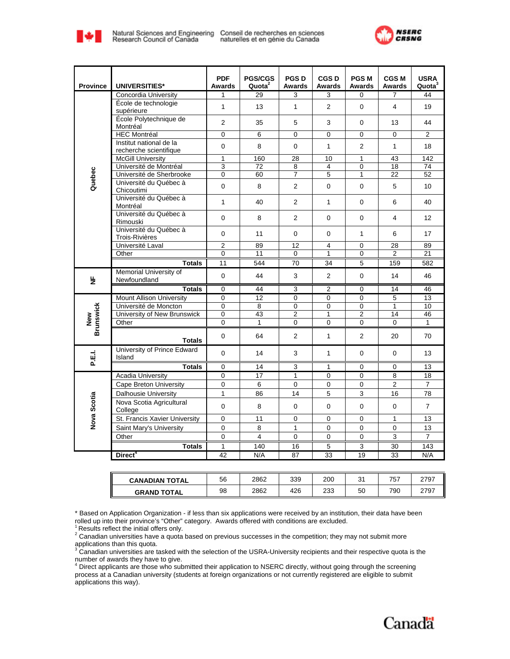

naturelles et en génie du Canada



| <b>Province</b>  | UNIVERSITIES*                                     | <b>PDF</b><br>Awards | <b>PGS/CGS</b><br>Quota <sup>2</sup> | <b>PGSD</b><br>Awards | <b>CGSD</b><br>Awards | <b>PGSM</b><br>Awards | <b>CGS M</b><br><b>Awards</b> | <b>USRA</b><br>Quota <sup>3</sup> |
|------------------|---------------------------------------------------|----------------------|--------------------------------------|-----------------------|-----------------------|-----------------------|-------------------------------|-----------------------------------|
|                  | Concordia University                              | 1                    | 29                                   | 3                     | 3                     | $\Omega$              | $\overline{7}$                | 44                                |
|                  | École de technologie<br>supérieure                | $\mathbf{1}$         | 13                                   | $\mathbf{1}$          | 2                     | $\Omega$              | 4                             | 19                                |
|                  | École Polytechnique de<br>Montréal                | 2                    | 35                                   | 5                     | 3                     | $\Omega$              | 13                            | 44                                |
|                  | <b>HEC Montréal</b>                               | 0                    | 6                                    | 0                     | $\mathbf 0$           | $\Omega$              | $\Omega$                      | $\overline{2}$                    |
|                  | Institut national de la<br>recherche scientifique | $\mathbf 0$          | 8                                    | $\mathbf 0$           | $\mathbf{1}$          | 2                     | $\mathbf{1}$                  | 18                                |
|                  | <b>McGill University</b>                          | 1                    | 160                                  | $\overline{28}$       | 10                    | 1                     | 43                            | 142                               |
|                  | Université de Montréal                            | 3                    | 72                                   | $\overline{8}$        | $\overline{4}$        | 0                     | $\overline{18}$               | 74                                |
|                  | Université de Sherbrooke                          | $\overline{0}$       | 60                                   | 7                     | $\overline{5}$        | $\overline{1}$        | $\overline{22}$               | 52                                |
| Quebec           | Université du Québec à<br>Chicoutimi              | $\Omega$             | 8                                    | $\overline{2}$        | $\Omega$              | $\Omega$              | 5                             | 10 <sup>10</sup>                  |
|                  | Université du Québec à<br>Montréal                | $\mathbf{1}$         | 40                                   | 2                     | $\mathbf{1}$          | $\mathbf 0$           | 6                             | 40                                |
|                  | Université du Québec à<br>Rimouski                | $\mathbf 0$          | 8                                    | 2                     | $\mathbf 0$           | $\mathbf 0$           | $\overline{4}$                | 12 <sup>2</sup>                   |
|                  | Université du Québec à<br><b>Trois-Rivières</b>   | $\mathbf 0$          | 11                                   | $\mathbf 0$           | $\mathbf 0$           | 1                     | 6                             | 17                                |
|                  | Université Laval                                  | $\overline{2}$       | 89                                   | 12                    | $\overline{4}$        | 0                     | 28                            | 89                                |
|                  | Other                                             | $\Omega$             | 11                                   | $\Omega$              | $\mathbf{1}$          | 0                     | $\overline{2}$                | 21                                |
|                  | <b>Totals</b>                                     | 11                   | 544                                  | 70                    | 34                    | 5                     | 159                           | 582                               |
| 눈                | Memorial University of<br>Newfoundland            | $\Omega$             | 44                                   | 3                     | 2                     | $\Omega$              | 14                            | 46                                |
|                  | <b>Totals</b>                                     | 0                    | 44                                   | 3                     | $\overline{2}$        | $\Omega$              | 14                            | 46                                |
|                  | <b>Mount Allison University</b>                   | $\overline{0}$       | 12                                   | 0                     | 0                     | $\mathbf 0$           | 5                             | 13                                |
|                  | Université de Moncton                             | $\mathbf 0$          | 8                                    | $\pmb{0}$             | $\mathbf 0$           | 0                     | $\mathbf{1}$                  | 10                                |
| New              | University of New Brunswick                       | $\mathbf 0$          | 43                                   | $\overline{c}$        | $\mathbf{1}$          | $\overline{2}$        | 14                            | 46                                |
| <b>Brunswick</b> | Other                                             | $\overline{0}$       | 1                                    | 0                     | $\Omega$              | $\Omega$              | $\Omega$                      | $\mathbf{1}$                      |
|                  | <b>Totals</b>                                     | $\Omega$             | 64                                   | 2                     | $\mathbf{1}$          | $\overline{2}$        | 20                            | 70                                |
| p.E.I.           | University of Prince Edward<br>Island             | $\Omega$             | 14                                   | 3                     | $\mathbf{1}$          | $\Omega$              | $\mathbf 0$                   | 13                                |
|                  | <b>Totals</b>                                     | $\mathbf 0$          | 14                                   | 3                     | $\mathbf{1}$          | 0                     | 0                             | 13                                |
|                  | <b>Acadia University</b>                          | $\mathbf 0$          | 17                                   | $\mathbf{1}$          | $\mathbf 0$           | 0                     | 8                             | 18                                |
| Nova Scotia      | Cape Breton University                            | $\overline{0}$       | 6                                    | 0                     | $\mathbf 0$           | $\mathsf 0$           | $\overline{2}$                | $\overline{7}$                    |
|                  | Dalhousie University                              | $\mathbf{1}$         | 86                                   | 14                    | $\mathbf 5$           | 3                     | 16                            | 78                                |
|                  | Nova Scotia Agricultural<br>College               | $\Omega$             | 8                                    | $\mathbf 0$           | $\Omega$              | $\Omega$              | $\mathbf 0$                   | $\overline{7}$                    |
|                  | St. Francis Xavier University                     | $\mathbf 0$          | 11                                   | $\mathbf 0$           | $\mathbf 0$           | $\mathbf 0$           | $\mathbf{1}$                  | 13                                |
|                  | Saint Mary's University                           | $\mathbf 0$          | 8                                    | 1                     | $\mathbf 0$           | $\mathbf 0$           | $\mathbf 0$                   | 13                                |
|                  | Other                                             | $\mathbf 0$          | $\overline{4}$                       | 0                     | $\mathbf 0$           | 0                     | $\mathbf{3}$                  | $\overline{7}$                    |
|                  | <b>Totals</b>                                     | 1                    | 140                                  | 16                    | 5                     | 3                     | 30                            | 143                               |
|                  | Direct <sup>4</sup>                               | 42                   | N/A                                  | 87                    | 33                    | 19                    | 33                            | N/A                               |
|                  |                                                   |                      |                                      |                       |                       |                       |                               |                                   |

| <b>CANADIAN TOTAL</b> | 56 | 2862 | 339 | 200 | $\sim$<br>ັ | 757 | 2797 |
|-----------------------|----|------|-----|-----|-------------|-----|------|
| <b>GRAND TOTAL</b>    | 98 | 2862 | 426 | 233 | 50          | 790 | 2797 |

\* Based on Application Organization - if less than six applications were received by an institution, their data have been rolled up into their province's "Other" category. Awards offered with conditions are excluded.<br><sup>1</sup> Results reflect the initial offers only.

 $^2$  Canadian universities have a quota based on previous successes in the competition; they may not submit more

applications than this quota.<br><sup>3</sup> Canadian universities are tasked with the selection of the USRA-University recipients and their respective quota is the

number of awards they have to give.<br><sup>4</sup> Direct applicants are those who submitted their application to NSERC directly, without going through the screening process at a Canadian university (students at foreign organizations or not currently registered are eligible to submit applications this way).

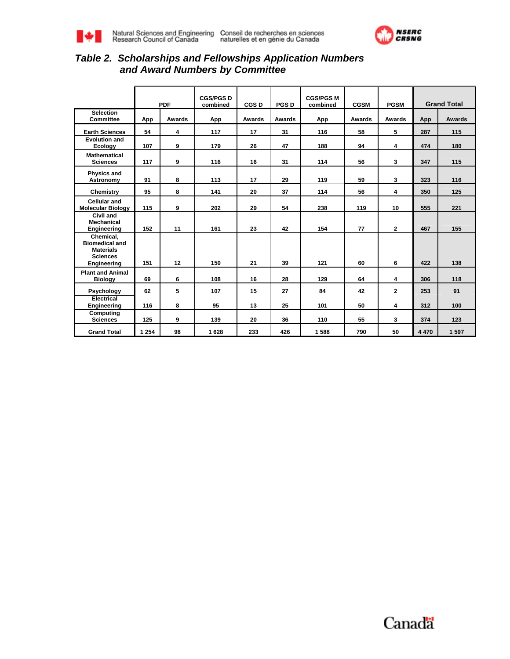<span id="page-3-0"></span>



### *Table 2. Scholarships and Fellowships Application Numbers and Award Numbers by Committee*

|                                                                                          | <b>PDF</b> |                         | <b>CGS/PGS D</b><br>combined | CGS <sub>D</sub> | <b>PGSD</b> | <b>CGS/PGS M</b><br>combined | <b>CGSM</b> | <b>PGSM</b>  |         | <b>Grand Total</b> |
|------------------------------------------------------------------------------------------|------------|-------------------------|------------------------------|------------------|-------------|------------------------------|-------------|--------------|---------|--------------------|
| <b>Selection</b><br><b>Committee</b>                                                     | App        | Awards                  | App                          | Awards           | Awards      | App                          | Awards      | Awards       | App     | Awards             |
| <b>Earth Sciences</b>                                                                    | 54         | $\overline{\mathbf{4}}$ | 117                          | 17               | 31          | 116                          | 58          | 5            | 287     | 115                |
| <b>Evolution and</b><br>Ecology                                                          | 107        | 9                       | 179                          | 26               | 47          | 188                          | 94          | 4            | 474     | 180                |
| <b>Mathematical</b><br><b>Sciences</b>                                                   | 117        | 9                       | 116                          | 16               | 31          | 114                          | 56          | $\mathbf{3}$ | 347     | 115                |
| <b>Physics and</b><br>Astronomy                                                          | 91         | 8                       | 113                          | 17               | 29          | 119                          | 59          | 3            | 323     | 116                |
| Chemistry                                                                                | 95         | 8                       | 141                          | 20               | 37          | 114                          | 56          | 4            | 350     | 125                |
| Cellular and<br><b>Molecular Biology</b>                                                 | 115        | 9                       | 202                          | 29               | 54          | 238                          | 119         | 10           | 555     | 221                |
| Civil and<br><b>Mechanical</b><br>Engineering                                            | 152        | 11                      | 161                          | 23               | 42          | 154                          | 77          | $\mathbf{2}$ | 467     | 155                |
| Chemical,<br><b>Biomedical and</b><br><b>Materials</b><br><b>Sciences</b><br>Engineering | 151        | 12                      | 150                          | 21               | 39          | 121                          | 60          | 6            | 422     | 138                |
| <b>Plant and Animal</b><br><b>Biology</b>                                                | 69         | 6                       | 108                          | 16               | 28          | 129                          | 64          | 4            | 306     | 118                |
| Psychology                                                                               | 62         | 5                       | 107                          | 15               | 27          | 84                           | 42          | $\mathbf{2}$ | 253     | 91                 |
| Electrical<br>Engineering                                                                | 116        | 8                       | 95                           | 13               | 25          | 101                          | 50          | 4            | 312     | 100                |
| Computing<br><b>Sciences</b>                                                             | 125        | 9                       | 139                          | 20               | 36          | 110                          | 55          | 3            | 374     | 123                |
| <b>Grand Total</b>                                                                       | 1 2 5 4    | 98                      | 1628                         | 233              | 426         | 1588                         | 790         | 50           | 4 4 7 0 | 1597               |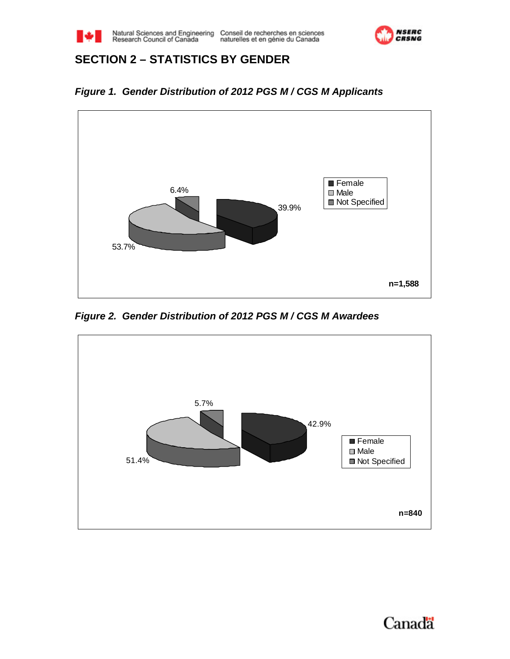<span id="page-4-0"></span>



# **SECTION 2 – STATISTICS BY GENDER**

*Figure 1. Gender Distribution of 2012 PGS M / CGS M Applicants*



*Figure 2. Gender Distribution of 2012 PGS M / CGS M Awardees* 

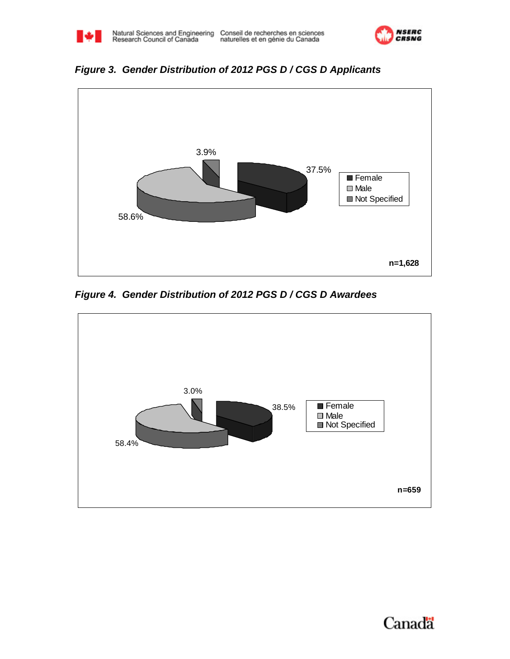

<span id="page-5-0"></span>



*Figure 4. Gender Distribution of 2012 PGS D / CGS D Awardees*